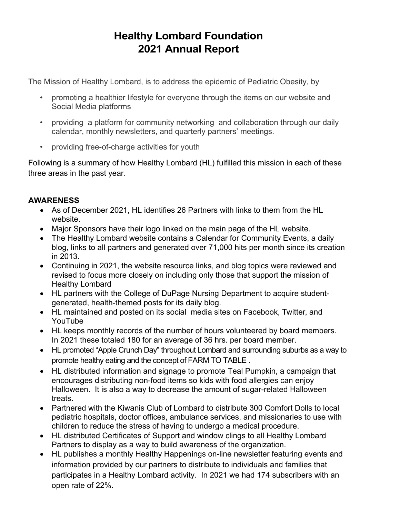# **Healthy Lombard Foundation 2021 Annual Report**

The Mission of Healthy Lombard, is to address the epidemic of Pediatric Obesity, by

- promoting a healthier lifestyle for everyone through the items on our website and Social Media platforms
- providing a platform for community networking and collaboration through our daily calendar, monthly newsletters, and quarterly partners' meetings.
- providing free-of-charge activities for youth

Following is a summary of how Healthy Lombard (HL) fulfilled this mission in each of these three areas in the past year.

# **AWARENESS**

- As of December 2021, HL identifies 26 Partners with links to them from the HL website.
- Major Sponsors have their logo linked on the main page of the HL website.
- The Healthy Lombard website contains a Calendar for Community Events, a daily blog, links to all partners and generated over 71,000 hits per month since its creation in 2013.
- Continuing in 2021, the website resource links, and blog topics were reviewed and revised to focus more closely on including only those that support the mission of Healthy Lombard
- HL partners with the College of DuPage Nursing Department to acquire studentgenerated, health-themed posts for its daily blog.
- HL maintained and posted on its social media sites on Facebook, Twitter, and YouTube
- HL keeps monthly records of the number of hours volunteered by board members. In 2021 these totaled 180 for an average of 36 hrs. per board member.
- HL promoted "Apple Crunch Day" throughout Lombard and surrounding suburbs as a way to promote healthy eating and the concept of FARM TO TABLE .
- HL distributed information and signage to promote Teal Pumpkin, a campaign that encourages distributing non-food items so kids with food allergies can enjoy Halloween. It is also a way to decrease the amount of sugar-related Halloween treats.
- Partnered with the Kiwanis Club of Lombard to distribute 300 Comfort Dolls to local pediatric hospitals, doctor offices, ambulance services, and missionaries to use with children to reduce the stress of having to undergo a medical procedure.
- HL distributed Certificates of Support and window clings to all Healthy Lombard Partners to display as a way to build awareness of the organization.
- HL publishes a monthly Healthy Happenings on-line newsletter featuring events and information provided by our partners to distribute to individuals and families that participates in a Healthy Lombard activity. In 2021 we had 174 subscribers with an open rate of 22%.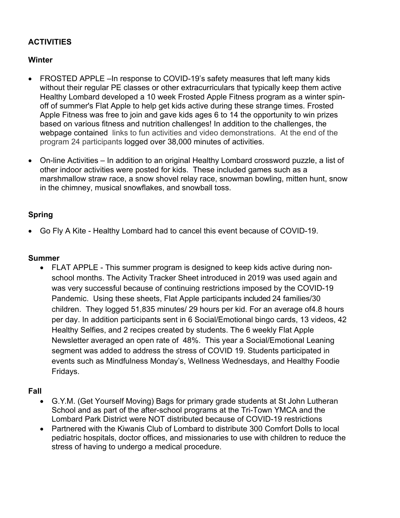# **ACTIVITIES**

### **Winter**

- FROSTED APPLE –In response to COVID-19's safety measures that left many kids without their regular PE classes or other extracurriculars that typically keep them active Healthy Lombard developed a 10 week Frosted Apple Fitness program as a winter spinoff of summer's Flat Apple to help get kids active during these strange times. Frosted Apple Fitness was free to join and gave kids ages 6 to 14 the opportunity to win prizes based on various fitness and nutrition challenges! In addition to the challenges, the webpage contained links to fun activities and video demonstrations. At the end of the program 24 participants logged over 38,000 minutes of activities.
- On-line Activities In addition to an original Healthy Lombard crossword puzzle, a list of other indoor activities were posted for kids. These included games such as a marshmallow straw race, a snow shovel relay race, snowman bowling, mitten hunt, snow in the chimney, musical snowflakes, and snowball toss.

### **Spring**

• Go Fly A Kite - Healthy Lombard had to cancel this event because of COVID-19.

#### **Summer**

• FLAT APPLE - This summer program is designed to keep kids active during nonschool months. The Activity Tracker Sheet introduced in 2019 was used again and was very successful because of continuing restrictions imposed by the COVID-19 Pandemic. Using these sheets, Flat Apple participants included 24 families/30 children. They logged 51,835 minutes/ 29 hours per kid. For an average of4.8 hours per day. In addition participants sent in 6 Social/Emotional bingo cards, 13 videos, 42 Healthy Selfies, and 2 recipes created by students. The 6 weekly Flat Apple Newsletter averaged an open rate of 48%. This year a Social/Emotional Leaning segment was added to address the stress of COVID 19. Students participated in events such as Mindfulness Monday's, Wellness Wednesdays, and Healthy Foodie Fridays.

#### **Fall**

- G.Y.M. (Get Yourself Moving) Bags for primary grade students at St John Lutheran School and as part of the after-school programs at the Tri-Town YMCA and the Lombard Park District were NOT distributed because of COVID-19 restrictions
- Partnered with the Kiwanis Club of Lombard to distribute 300 Comfort Dolls to local pediatric hospitals, doctor offices, and missionaries to use with children to reduce the stress of having to undergo a medical procedure.